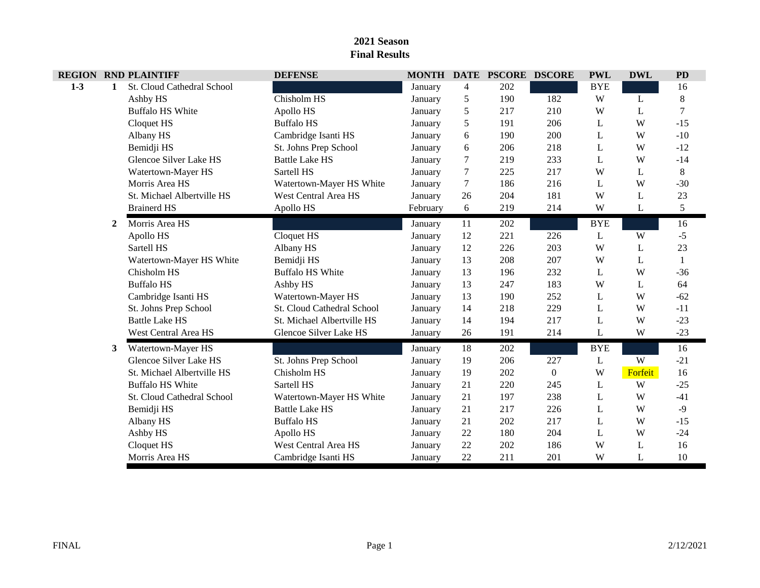| <b>REGION</b> |              | <b>RND PLAINTIFF</b>          | <b>DEFENSE</b>                |          |        | MONTH DATE PSCORE DSCORE |                | <b>PWL</b> | <b>DWL</b> | <b>PD</b> |
|---------------|--------------|-------------------------------|-------------------------------|----------|--------|--------------------------|----------------|------------|------------|-----------|
| $1 - 3$       | $\mathbf{1}$ | St. Cloud Cathedral School    |                               | January  | 4      | 202                      |                | <b>BYE</b> |            | 16        |
|               |              | Ashby HS                      | Chisholm HS                   | January  | 5      | 190                      | 182            | W          | L          | $\,8$     |
|               |              | <b>Buffalo HS White</b>       | Apollo HS                     | January  | 5      | 217                      | 210            | W          | L          |           |
|               |              | Cloquet HS                    | <b>Buffalo HS</b>             | January  | 5      | 191                      | 206            | L          | W          | $-15$     |
|               |              | Albany HS                     | Cambridge Isanti HS           | January  | 6      | 190                      | 200            | L          | W          | $-10$     |
|               |              | Bemidji HS                    | St. Johns Prep School         | January  | 6      | 206                      | 218            | L          | W          | $-12$     |
|               |              | <b>Glencoe Silver Lake HS</b> | <b>Battle Lake HS</b>         | January  | 7      | 219                      | 233            | L          | W          | $-14$     |
|               |              | Watertown-Mayer HS            | Sartell HS                    | January  | 7      | 225                      | 217            | W          | L          | 8         |
|               |              | Morris Area HS                | Watertown-Mayer HS White      | January  | $\tau$ | 186                      | 216            | L          | W          | $-30$     |
|               |              | St. Michael Albertville HS    | <b>West Central Area HS</b>   | January  | 26     | 204                      | 181            | W          | L          | 23        |
|               |              | <b>Brainerd HS</b>            | Apollo HS                     | February | 6      | 219                      | 214            | W          | L          | 5         |
|               | 2            | Morris Area HS                |                               | January  | 11     | 202                      |                | <b>BYE</b> |            | 16        |
|               |              | Apollo HS                     | Cloquet HS                    | January  | 12     | 221                      | 226            | L          | W          | $-5$      |
|               |              | Sartell HS                    | Albany HS                     | January  | 12     | 226                      | 203            | W          | L          | 23        |
|               |              | Watertown-Mayer HS White      | Bemidji HS                    | January  | 13     | 208                      | 207            | W          | L          |           |
|               |              | Chisholm HS                   | <b>Buffalo HS White</b>       | January  | 13     | 196                      | 232            | L          | W          | $-36$     |
|               |              | <b>Buffalo HS</b>             | Ashby HS                      | January  | 13     | 247                      | 183            | W          | L          | 64        |
|               |              | Cambridge Isanti HS           | Watertown-Mayer HS            | January  | 13     | 190                      | 252            | L          | W          | $-62$     |
|               |              | St. Johns Prep School         | St. Cloud Cathedral School    | January  | 14     | 218                      | 229            | L          | W          | $-11$     |
|               |              | <b>Battle Lake HS</b>         | St. Michael Albertville HS    | January  | 14     | 194                      | 217            | L          | W          | $-23$     |
|               |              | <b>West Central Area HS</b>   | <b>Glencoe Silver Lake HS</b> | January  | 26     | 191                      | 214            | L          | W          | $-23$     |
|               | 3            | Watertown-Mayer HS            |                               | January  | 18     | 202                      |                | <b>BYE</b> |            | 16        |
|               |              | Glencoe Silver Lake HS        | St. Johns Prep School         | January  | 19     | 206                      | 227            | L          | W          | $-21$     |
|               |              | St. Michael Albertville HS    | Chisholm HS                   | January  | 19     | 202                      | $\overline{0}$ | W          | Forfeit    | 16        |
|               |              | <b>Buffalo HS White</b>       | Sartell HS                    | January  | 21     | 220                      | 245            | L          | W          | $-25$     |
|               |              | St. Cloud Cathedral School    | Watertown-Mayer HS White      | January  | 21     | 197                      | 238            | L          | W          | $-41$     |
|               |              | Bemidji HS                    | <b>Battle Lake HS</b>         | January  | 21     | 217                      | 226            | L          | W          | $-9$      |
|               |              | Albany HS                     | <b>Buffalo HS</b>             | January  | 21     | 202                      | 217            | L          | W          | $-15$     |
|               |              | Ashby HS                      | Apollo HS                     | January  | 22     | 180                      | 204            | L          | W          | $-24$     |
|               |              | Cloquet HS                    | <b>West Central Area HS</b>   | January  | 22     | 202                      | 186            | W          | L          | 16        |
|               |              | Morris Area HS                | Cambridge Isanti HS           | January  | 22     | 211                      | 201            | W          | L          | 10        |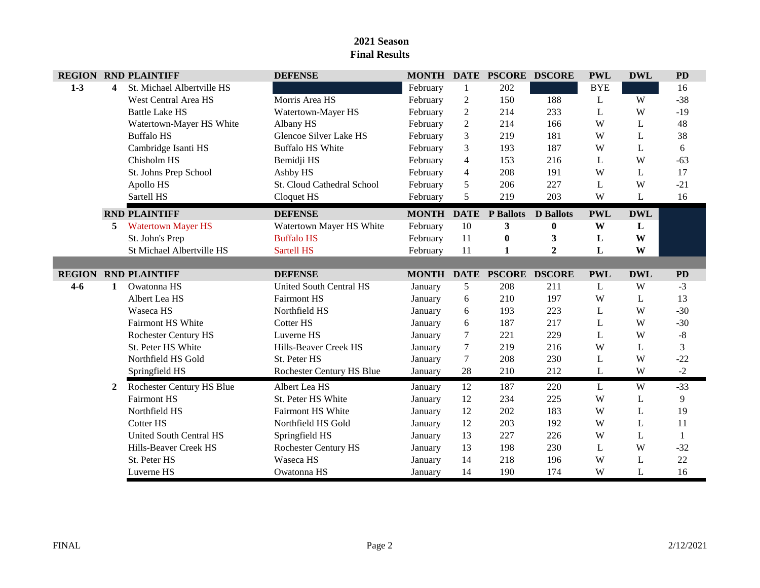|         |              | <b>REGION RND PLAINTIFF</b>    | <b>DEFENSE</b>                |              |                  | MONTH DATE PSCORE DSCORE |                  | <b>PWL</b> | <b>DWL</b> | <b>PD</b> |
|---------|--------------|--------------------------------|-------------------------------|--------------|------------------|--------------------------|------------------|------------|------------|-----------|
| $1-3$   | 4            | St. Michael Albertville HS     |                               | February     | 1                | 202                      |                  | <b>BYE</b> |            | 16        |
|         |              | <b>West Central Area HS</b>    | Morris Area HS                | February     | $\boldsymbol{2}$ | 150                      | 188              | L          | W          | $-38$     |
|         |              | <b>Battle Lake HS</b>          | Watertown-Mayer HS            | February     | $\overline{2}$   | 214                      | 233              | L          | W          | $-19$     |
|         |              | Watertown-Mayer HS White       | Albany HS                     | February     | $\overline{2}$   | 214                      | 166              | W          | L          | 48        |
|         |              | <b>Buffalo HS</b>              | <b>Glencoe Silver Lake HS</b> | February     | 3                | 219                      | 181              | W          | L          | 38        |
|         |              | Cambridge Isanti HS            | <b>Buffalo HS White</b>       | February     | 3                | 193                      | 187              | W          | L          | 6         |
|         |              | Chisholm HS                    | Bemidji HS                    | February     | $\overline{4}$   | 153                      | 216              | L          | W          | $-63$     |
|         |              | St. Johns Prep School          | Ashby HS                      | February     | 4                | 208                      | 191              | W          | L          | 17        |
|         |              | Apollo HS                      | St. Cloud Cathedral School    | February     | 5                | 206                      | 227              | L          | W          | $-21$     |
|         |              | Sartell HS                     | Cloquet HS                    | February     | 5                | 219                      | 203              | W          | L          | 16        |
|         |              | <b>RND PLAINTIFF</b>           | <b>DEFENSE</b>                | <b>MONTH</b> | <b>DATE</b>      | <b>P</b> Ballots         | <b>D</b> Ballots | <b>PWL</b> | <b>DWL</b> |           |
|         | 5.           | <b>Watertown Mayer HS</b>      | Watertown Mayer HS White      | February     | 10               | 3                        | $\bf{0}$         | W          | L          |           |
|         |              | St. John's Prep                | <b>Buffalo HS</b>             | February     | 11               | $\bf{0}$                 | 3                | L          | W          |           |
|         |              | St Michael Albertville HS      | <b>Sartell HS</b>             | February     | 11               | 1                        | $\overline{2}$   | L          | W          |           |
|         |              |                                |                               |              |                  |                          |                  |            |            |           |
|         |              | <b>REGION RND PLAINTIFF</b>    | <b>DEFENSE</b>                |              |                  | MONTH DATE PSCORE DSCORE |                  | <b>PWL</b> | <b>DWL</b> | <b>PD</b> |
| $4 - 6$ | 1            | Owatonna HS                    | United South Central HS       | January      | 5                | 208                      | 211              | L          | W          | $-3$      |
|         |              | Albert Lea HS                  | <b>Fairmont HS</b>            | January      | 6                | 210                      | 197              | W          | L          | 13        |
|         |              | Waseca HS                      | Northfield HS                 | January      | 6                | 193                      | 223              | L          | W          | $-30$     |
|         |              | Fairmont HS White              | Cotter HS                     | January      | 6                | 187                      | 217              | L          | W          | $-30$     |
|         |              | <b>Rochester Century HS</b>    | Luverne HS                    | January      | 7                | 221                      | 229              | L          | W          | -8        |
|         |              | St. Peter HS White             | Hills-Beaver Creek HS         | January      | $\tau$           | 219                      | 216              | W          | L          | 3         |
|         |              | Northfield HS Gold             | St. Peter HS                  | January      | $\tau$           | 208                      | 230              | L          | W          | $-22$     |
|         |              | Springfield HS                 | Rochester Century HS Blue     | January      | 28               | 210                      | 212              | L          | W          | $-2$      |
|         | $\mathbf{2}$ | Rochester Century HS Blue      | Albert Lea HS                 | January      | 12               | 187                      | 220              | L          | W          | $-33$     |
|         |              | <b>Fairmont HS</b>             | St. Peter HS White            | January      | 12               | 234                      | 225              | W          | L          | 9         |
|         |              | Northfield HS                  | <b>Fairmont HS White</b>      | January      | 12               | 202                      | 183              | W          | L          | 19        |
|         |              | Cotter HS                      | Northfield HS Gold            | January      | 12               | 203                      | 192              | W          | L          | 11        |
|         |              | <b>United South Central HS</b> | Springfield HS                | January      | 13               | 227                      | 226              | W          | L          | 1         |
|         |              | Hills-Beaver Creek HS          | <b>Rochester Century HS</b>   | January      | 13               | 198                      | 230              | L          | W          | $-32$     |
|         |              | St. Peter HS                   | Waseca HS                     | January      | 14               | 218                      | 196              | W          | L          | 22        |
|         |              | Luverne HS                     | Owatonna HS                   | January      | 14               | 190                      | 174              | W          | L          | 16        |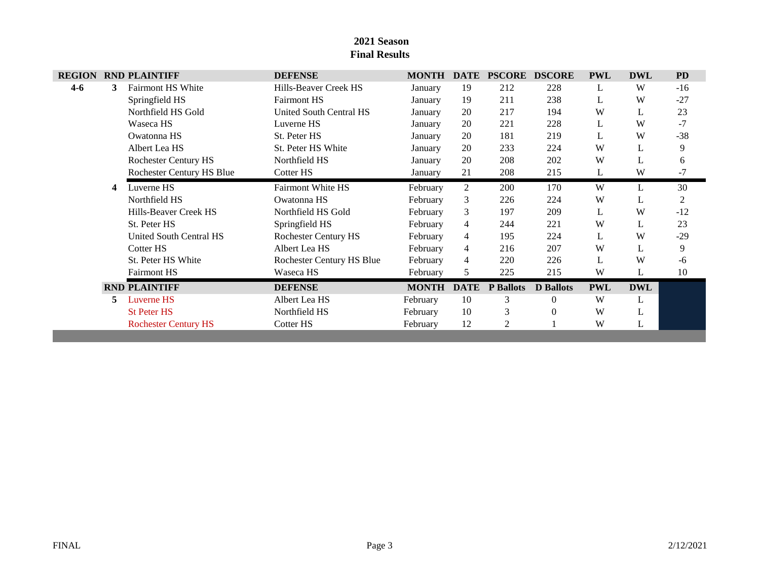| <b>REGION</b> |    | <b>RND PLAINTIFF</b>        | <b>DEFENSE</b>              | <b>MONTH</b> | <b>DATE</b>    | <b>PSCORE</b>    | <b>DSCORE</b>    | <b>PWL</b> | <b>DWL</b> | <b>PD</b>      |
|---------------|----|-----------------------------|-----------------------------|--------------|----------------|------------------|------------------|------------|------------|----------------|
| $4 - 6$       | 3. | <b>Fairmont HS White</b>    | Hills-Beaver Creek HS       | January      | 19             | 212              | 228              | L          | W          | $-16$          |
|               |    | Springfield HS              | <b>Fairmont HS</b>          | January      | 19             | 211              | 238              | L          | W          | $-27$          |
|               |    | Northfield HS Gold          | United South Central HS     | January      | 20             | 217              | 194              | W          | L          | 23             |
|               |    | Waseca HS                   | Luverne HS                  | January      | 20             | 221              | 228              | L          | W          | $-7$           |
|               |    | Owatonna HS                 | St. Peter HS                | January      | 20             | 181              | 219              | L          | W          | $-38$          |
|               |    | Albert Lea HS               | St. Peter HS White          | January      | 20             | 233              | 224              | W          | L          | 9              |
|               |    | Rochester Century HS        | Northfield HS               | January      | 20             | 208              | 202              | W          | L          | 6              |
|               |    | Rochester Century HS Blue   | Cotter HS                   | January      | 21             | 208              | 215              | L          | W          | $-7$           |
|               | 4  | Luverne HS                  | <b>Fairmont White HS</b>    | February     | 2              | 200              | 170              | W          | L          | 30             |
|               |    | Northfield HS               | Owatonna HS                 | February     | 3              | 226              | 224              | W          | L          | $\overline{c}$ |
|               |    | Hills-Beaver Creek HS       | Northfield HS Gold          | February     | 3              | 197              | 209              | L          | W          | $-12$          |
|               |    | St. Peter HS                | Springfield HS              | February     | 4              | 244              | 221              | W          | L          | 23             |
|               |    | United South Central HS     | <b>Rochester Century HS</b> | February     | $\overline{4}$ | 195              | 224              | L          | W          | $-29$          |
|               |    | Cotter HS                   | Albert Lea HS               | February     | $\overline{4}$ | 216              | 207              | W          | L          | 9              |
|               |    | St. Peter HS White          | Rochester Century HS Blue   | February     | $\overline{4}$ | 220              | 226              | L          | W          | -6             |
|               |    | <b>Fairmont HS</b>          | Waseca HS                   | February     | 5              | 225              | 215              | W          | L          | 10             |
|               |    | <b>RND PLAINTIFF</b>        | <b>DEFENSE</b>              | <b>MONTH</b> | <b>DATE</b>    | <b>P</b> Ballots | <b>D</b> Ballots | <b>PWL</b> | <b>DWL</b> |                |
|               | 5. | Luverne HS                  | Albert Lea HS               | February     | 10             | 3                | $\Omega$         | W          | L          |                |
|               |    | <b>St Peter HS</b>          | Northfield HS               | February     | 10             | 3                | $\Omega$         | W          | L          |                |
|               |    | <b>Rochester Century HS</b> | Cotter HS                   | February     | 12             | 2                |                  | W          | L          |                |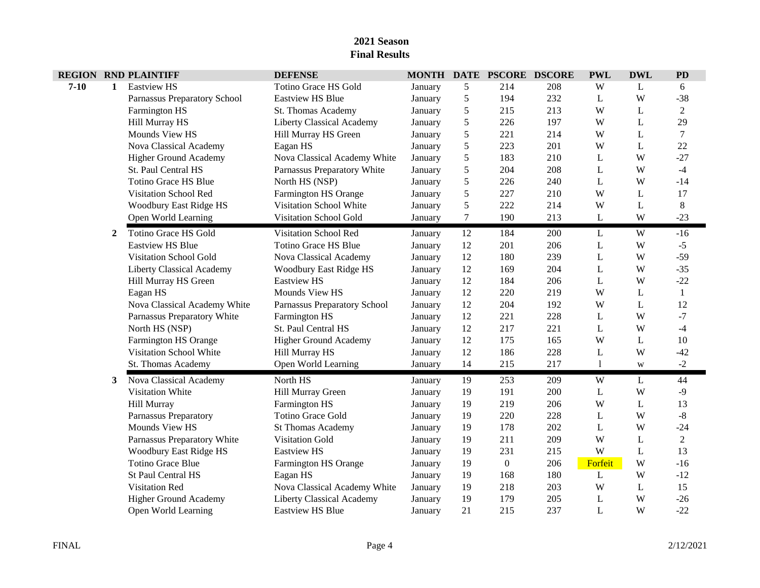|          |              | <b>REGION RND PLAINTIFF</b>      | <b>DEFENSE</b>               | <b>MONTH DATE</b> |            | <b>PSCORE DSCORE</b> |     | <b>PWL</b>   | <b>DWL</b> | <b>PD</b>      |
|----------|--------------|----------------------------------|------------------------------|-------------------|------------|----------------------|-----|--------------|------------|----------------|
| $7 - 10$ | $\mathbf{1}$ | <b>Eastview HS</b>               | Totino Grace HS Gold         | January           | 5          | 214                  | 208 | W            | L          | 6              |
|          |              | Parnassus Preparatory School     | <b>Eastview HS Blue</b>      | January           | 5          | 194                  | 232 | L            | W          | $-38$          |
|          |              | Farmington HS                    | St. Thomas Academy           | January           | 5          | 215                  | 213 | W            | L          | $\overline{2}$ |
|          |              | Hill Murray HS                   | Liberty Classical Academy    | January           | 5          | 226                  | 197 | W            | L          | 29             |
|          |              | Mounds View HS                   | Hill Murray HS Green         | January           | 5          | 221                  | 214 | W            | L          | $\overline{7}$ |
|          |              | Nova Classical Academy           | Eagan HS                     | January           | 5          | 223                  | 201 | W            | L          | 22             |
|          |              | <b>Higher Ground Academy</b>     | Nova Classical Academy White | January           | 5          | 183                  | 210 | L            | W          | $-27$          |
|          |              | St. Paul Central HS              | Parnassus Preparatory White  | January           | $\sqrt{5}$ | 204                  | 208 | L            | W          | $-4$           |
|          |              | <b>Totino Grace HS Blue</b>      | North HS (NSP)               | January           | $\sqrt{5}$ | 226                  | 240 | L            | W          | $-14$          |
|          |              | Visitation School Red            | Farmington HS Orange         | January           | 5          | 227                  | 210 | W            | L          | 17             |
|          |              | <b>Woodbury East Ridge HS</b>    | Visitation School White      | January           | 5          | 222                  | 214 | W            | L          | $8\,$          |
|          |              | Open World Learning              | Visitation School Gold       | January           | $\tau$     | 190                  | 213 | L            | W          | $-23$          |
|          | $\mathbf{2}$ | Totino Grace HS Gold             | Visitation School Red        | January           | 12         | 184                  | 200 | L            | W          | $-16$          |
|          |              | <b>Eastview HS Blue</b>          | Totino Grace HS Blue         | January           | 12         | 201                  | 206 | L            | W          | $-5$           |
|          |              | Visitation School Gold           | Nova Classical Academy       | January           | 12         | 180                  | 239 | L            | W          | $-59$          |
|          |              | <b>Liberty Classical Academy</b> | Woodbury East Ridge HS       | January           | 12         | 169                  | 204 | L            | W          | $-35$          |
|          |              | Hill Murray HS Green             | <b>Eastview HS</b>           | January           | 12         | 184                  | 206 | L            | W          | $-22$          |
|          |              | Eagan HS                         | Mounds View HS               | January           | 12         | 220                  | 219 | W            | L          | 1              |
|          |              | Nova Classical Academy White     | Parnassus Preparatory School | January           | 12         | 204                  | 192 | W            | L          | 12             |
|          |              | Parnassus Preparatory White      | Farmington HS                | January           | 12         | 221                  | 228 | L            | W          | $-7$           |
|          |              | North HS (NSP)                   | St. Paul Central HS          | January           | 12         | 217                  | 221 | L            | W          | $-4$           |
|          |              | Farmington HS Orange             | Higher Ground Academy        | January           | 12         | 175                  | 165 | W            | L          | 10             |
|          |              | Visitation School White          | Hill Murray HS               | January           | 12         | 186                  | 228 | L            | W          | $-42$          |
|          |              | St. Thomas Academy               | Open World Learning          | January           | 14         | 215                  | 217 | $\mathbf{1}$ | W          | $-2$           |
|          | 3            | Nova Classical Academy           | North HS                     | January           | 19         | 253                  | 209 | W            | L          | 44             |
|          |              | Visitation White                 | Hill Murray Green            | January           | 19         | 191                  | 200 | L            | W          | $-9$           |
|          |              | Hill Murray                      | Farmington HS                | January           | 19         | 219                  | 206 | W            | L          | 13             |
|          |              | <b>Parnassus Preparatory</b>     | <b>Totino Grace Gold</b>     | January           | 19         | 220                  | 228 | L            | W          | $-8$           |
|          |              | Mounds View HS                   | <b>St Thomas Academy</b>     | January           | 19         | 178                  | 202 | L            | W          | $-24$          |
|          |              | Parnassus Preparatory White      | Visitation Gold              | January           | 19         | 211                  | 209 | W            | L          | $\overline{2}$ |
|          |              | Woodbury East Ridge HS           | <b>Eastview HS</b>           | January           | 19         | 231                  | 215 | W            | L          | 13             |
|          |              | <b>Totino Grace Blue</b>         | Farmington HS Orange         | January           | 19         | $\boldsymbol{0}$     | 206 | Forfeit      | W          | $-16$          |
|          |              | St Paul Central HS               | Eagan HS                     | January           | 19         | 168                  | 180 | L            | W          | $-12$          |
|          |              | <b>Visitation Red</b>            | Nova Classical Academy White | January           | 19         | 218                  | 203 | W            | L          | 15             |
|          |              | <b>Higher Ground Academy</b>     | Liberty Classical Academy    | January           | 19         | 179                  | 205 | L            | W          | $-26$          |
|          |              | Open World Learning              | <b>Eastview HS Blue</b>      | January           | 21         | 215                  | 237 | L            | W          | $-22$          |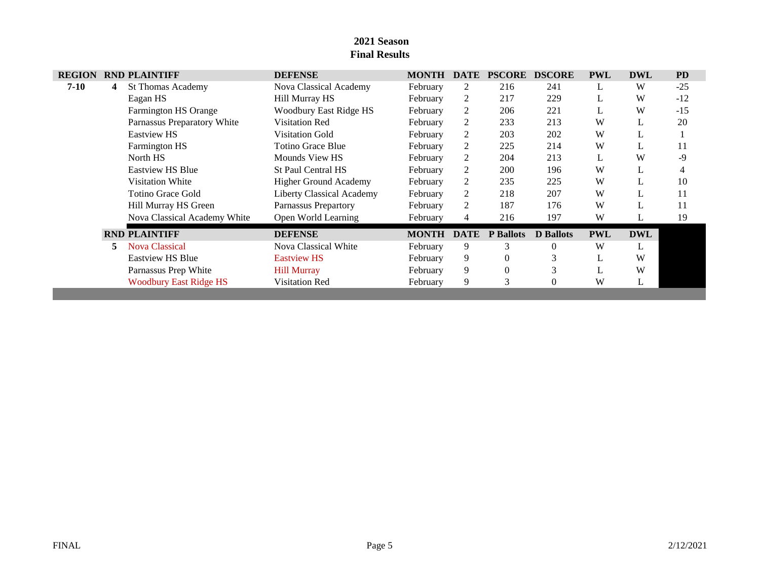| <b>REGION</b> |    | <b>RND PLAINTIFF</b>          | <b>DEFENSE</b>                   | <b>MONTH</b> | <b>DATE</b>    | <b>PSCORE</b>    | <b>DSCORE</b>    | <b>PWL</b> | <b>DWL</b> | <b>PD</b> |
|---------------|----|-------------------------------|----------------------------------|--------------|----------------|------------------|------------------|------------|------------|-----------|
| $7-10$        | 4  | <b>St Thomas Academy</b>      | Nova Classical Academy           | February     | 2              | 216              | 241              | L          | W          | $-25$     |
|               |    | Eagan HS                      | Hill Murray HS                   | February     | 2              | 217              | 229              | L          | W          | $-12$     |
|               |    | Farmington HS Orange          | Woodbury East Ridge HS           | February     | 2              | 206              | 221              | L          | W          | $-15$     |
|               |    | Parnassus Preparatory White   | <b>Visitation Red</b>            | February     | 2              | 233              | 213              | W          |            | 20        |
|               |    | <b>Eastview HS</b>            | Visitation Gold                  | February     | 2              | 203              | 202              | W          | L          |           |
|               |    | Farmington HS                 | <b>Totino Grace Blue</b>         | February     | $\overline{2}$ | 225              | 214              | W          | L          | 11        |
|               |    | North HS                      | Mounds View HS                   | February     | 2              | 204              | 213              | L          | W          | $-9$      |
|               |    | <b>Eastview HS Blue</b>       | <b>St Paul Central HS</b>        | February     | 2              | 200              | 196              | W          | L          | 4         |
|               |    | Visitation White              | <b>Higher Ground Academy</b>     | February     | 2              | 235              | 225              | W          | L.         | 10        |
|               |    | <b>Totino Grace Gold</b>      | <b>Liberty Classical Academy</b> | February     | $\overline{2}$ | 218              | 207              | W          |            | 11        |
|               |    | Hill Murray HS Green          | Parnassus Prepartory             | February     | 2              | 187              | 176              | W          |            | 11        |
|               |    | Nova Classical Academy White  | Open World Learning              | February     | 4              | 216              | 197              | W          | L          | 19        |
|               |    | <b>RND PLAINTIFF</b>          | <b>DEFENSE</b>                   | <b>MONTH</b> | DATE           | <b>P</b> Ballots | <b>D</b> Ballots | <b>PWL</b> | <b>DWL</b> |           |
|               | 5. | <b>Nova Classical</b>         | Nova Classical White             | February     | 9              | 3                | $\theta$         | W          | L          |           |
|               |    | <b>Eastylew HS Blue</b>       | <b>Eastylew HS</b>               | February     | 9              | 0                |                  | L          | W          |           |
|               |    | Parnassus Prep White          | <b>Hill Murray</b>               | February     | 9              | $\theta$         | 3                | ┻          | W          |           |
|               |    | <b>Woodbury East Ridge HS</b> | Visitation Red                   | February     | 9              | 3                | $\theta$         | W          | ┶          |           |
|               |    |                               |                                  |              |                |                  |                  |            |            |           |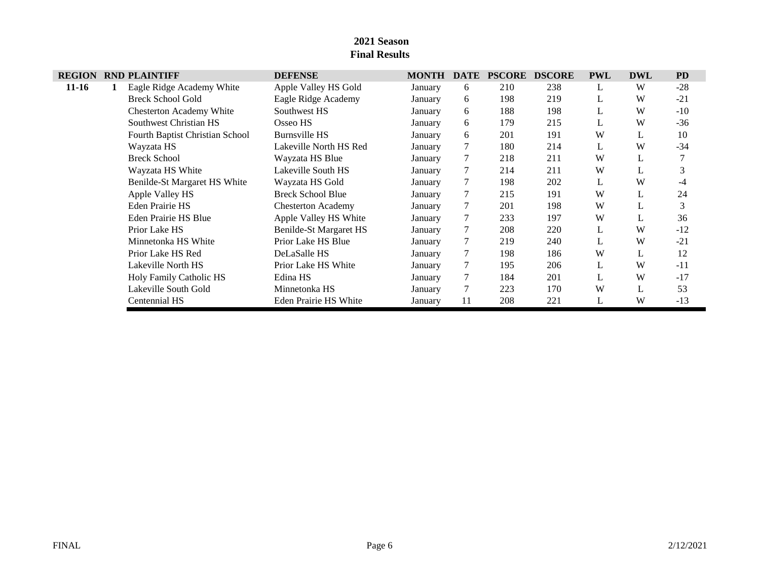| <b>REGION</b> | <b>RND PLAINTIFF</b>            | <b>DEFENSE</b>            | <b>MONTH</b> | <b>DATE</b> | <b>PSCORE</b> | <b>DSCORE</b> | <b>PWL</b> | <b>DWL</b> | <b>PD</b> |
|---------------|---------------------------------|---------------------------|--------------|-------------|---------------|---------------|------------|------------|-----------|
| $11-16$       | Eagle Ridge Academy White       | Apple Valley HS Gold      | January      | 6           | 210           | 238           | L          | W          | $-28$     |
|               | <b>Breck School Gold</b>        | Eagle Ridge Academy       | January      | 6           | 198           | 219           | L          | W          | $-21$     |
|               | <b>Chesterton Academy White</b> | Southwest HS              | January      | 6           | 188           | 198           | L          | W          | $-10$     |
|               | Southwest Christian HS          | Osseo HS                  | January      | 6           | 179           | 215           | L          | W          | $-36$     |
|               | Fourth Baptist Christian School | <b>Burnsville HS</b>      | January      | 6           | 201           | 191           | W          | L          | 10        |
|               | Wayzata HS                      | Lakeville North HS Red    | January      | $\tau$      | 180           | 214           | L          | W          | $-34$     |
|               | <b>Breck School</b>             | Wayzata HS Blue           | January      |             | 218           | 211           | W          | ┻          |           |
|               | Wayzata HS White                | Lakeville South HS        | January      |             | 214           | 211           | W          | L          |           |
|               | Benilde-St Margaret HS White    | Wayzata HS Gold           | January      | 7           | 198           | 202           | L          | W          | $-4$      |
|               | Apple Valley HS                 | <b>Breck School Blue</b>  | January      |             | 215           | 191           | W          |            | 24        |
|               | <b>Eden Prairie HS</b>          | <b>Chesterton Academy</b> | January      |             | 201           | 198           | W          |            | 3         |
|               | <b>Eden Prairie HS Blue</b>     | Apple Valley HS White     | January      | 7           | 233           | 197           | W          | L          | 36        |
|               | Prior Lake HS                   | Benilde-St Margaret HS    | January      |             | 208           | 220           | L          | W          | $-12$     |
|               | Minnetonka HS White             | Prior Lake HS Blue        | January      |             | 219           | 240           | L          | W          | $-21$     |
|               | Prior Lake HS Red               | DeLaSalle HS              | January      |             | 198           | 186           | W          |            | 12        |
|               | Lakeville North HS              | Prior Lake HS White       | January      |             | 195           | 206           | L          | W          | $-11$     |
|               | Holy Family Catholic HS         | Edina HS                  | January      |             | 184           | 201           | L          | W          | $-17$     |
|               | Lakeville South Gold            | Minnetonka HS             | January      |             | 223           | 170           | W          |            | 53        |
|               | Centennial HS                   | Eden Prairie HS White     | January      | 11          | 208           | 221           | L          | W          | $-13$     |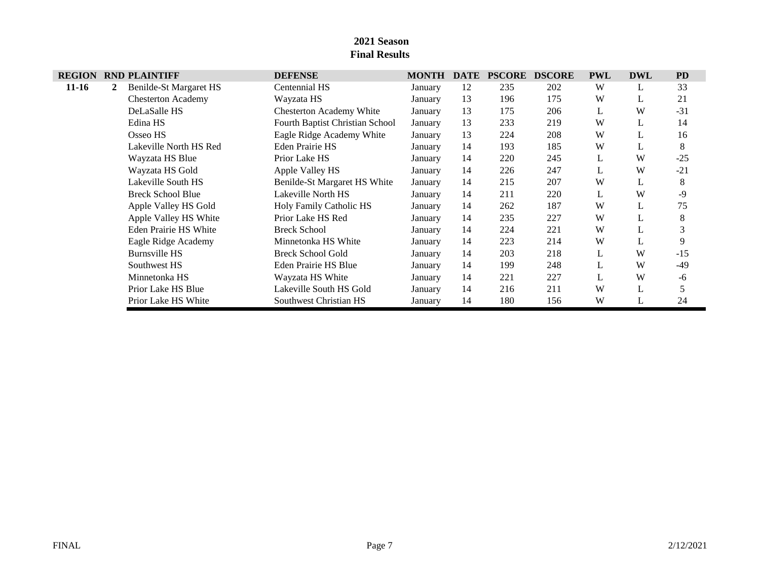| <b>REGION</b> |   | <b>RND PLAINTIFF</b>         | <b>DEFENSE</b>                  | <b>MONTH</b> | <b>DATE</b> | <b>PSCORE</b> | <b>DSCORE</b> | <b>PWL</b> | <b>DWL</b> | <b>PD</b> |
|---------------|---|------------------------------|---------------------------------|--------------|-------------|---------------|---------------|------------|------------|-----------|
| $11-16$       | 2 | Benilde-St Margaret HS       | Centennial HS                   | January      | 12          | 235           | 202           | W          |            | 33        |
|               |   | <b>Chesterton Academy</b>    | Wayzata HS                      | January      | 13          | 196           | 175           | W          | L          | 21        |
|               |   | DeLaSalle HS                 | <b>Chesterton Academy White</b> | January      | 13          | 175           | 206           | L          | W          | $-31$     |
|               |   | Edina HS                     | Fourth Baptist Christian School | January      | 13          | 233           | 219           | W          | L          | 14        |
|               |   | Osseo HS                     | Eagle Ridge Academy White       | January      | 13          | 224           | 208           | W          |            | 16        |
|               |   | Lakeville North HS Red       | Eden Prairie HS                 | January      | 14          | 193           | 185           | W          |            | 8         |
|               |   | Wayzata HS Blue              | Prior Lake HS                   | January      | 14          | 220           | 245           | L          | W          | $-25$     |
|               |   | Wayzata HS Gold              | Apple Valley HS                 | January      | 14          | 226           | 247           |            | W          | $-21$     |
|               |   | Lakeville South HS           | Benilde-St Margaret HS White    | January      | 14          | 215           | 207           | W          |            | 8         |
|               |   | <b>Breck School Blue</b>     | Lakeville North HS              | January      | 14          | 211           | 220           | L          | W          | -9        |
|               |   | Apple Valley HS Gold         | <b>Holy Family Catholic HS</b>  | January      | 14          | 262           | 187           | W          |            | 75        |
|               |   | Apple Valley HS White        | Prior Lake HS Red               | January      | 14          | 235           | 227           | W          |            | 8         |
|               |   | <b>Eden Prairie HS White</b> | <b>Breck School</b>             | January      | 14          | 224           | 221           | W          | L          | 3         |
|               |   | Eagle Ridge Academy          | Minnetonka HS White             | January      | 14          | 223           | 214           | W          |            | 9         |
|               |   | <b>Burnsville HS</b>         | <b>Breck School Gold</b>        | January      | 14          | 203           | 218           | L          | W          | $-15$     |
|               |   | Southwest HS                 | Eden Prairie HS Blue            | January      | 14          | 199           | 248           |            | W          | $-49$     |
|               |   | Minnetonka HS                | Wayzata HS White                | January      | 14          | 221           | 227           | L          | W          | -6        |
|               |   | Prior Lake HS Blue           | Lakeville South HS Gold         | January      | 14          | 216           | 211           | W          |            |           |
|               |   | Prior Lake HS White          | Southwest Christian HS          | January      | 14          | 180           | 156           | W          |            | 24        |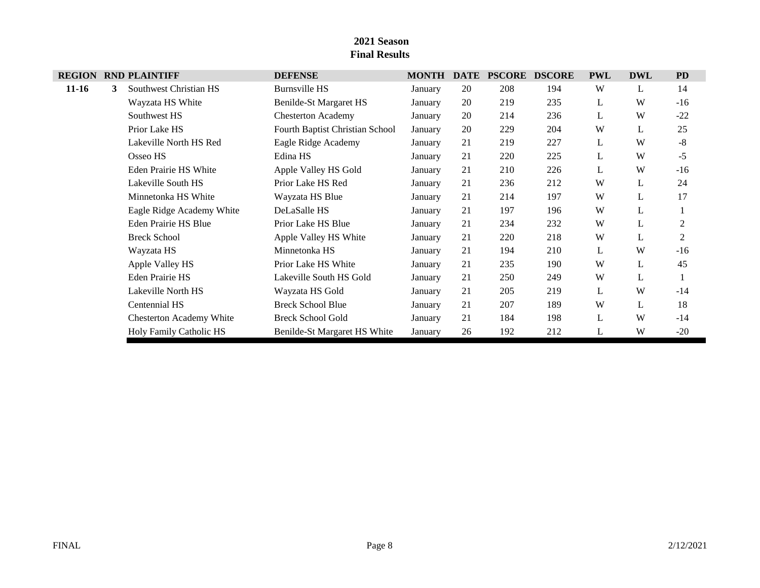| <b>REGION</b> |   | <b>RND PLAINTIFF</b>            | <b>DEFENSE</b>                  | <b>MONTH</b> | <b>DATE</b> | <b>PSCORE</b> | <b>DSCORE</b> | <b>PWL</b> | <b>DWL</b> | <b>PD</b>      |
|---------------|---|---------------------------------|---------------------------------|--------------|-------------|---------------|---------------|------------|------------|----------------|
| $11-16$       | 3 | Southwest Christian HS          | <b>Burnsville HS</b>            | January      | 20          | 208           | 194           | W          | L          | 14             |
|               |   | Wayzata HS White                | Benilde-St Margaret HS          | January      | 20          | 219           | 235           | L          | W          | $-16$          |
|               |   | Southwest HS                    | <b>Chesterton Academy</b>       | January      | 20          | 214           | 236           | L          | W          | $-22$          |
|               |   | Prior Lake HS                   | Fourth Baptist Christian School | January      | 20          | 229           | 204           | W          | L          | 25             |
|               |   | Lakeville North HS Red          | Eagle Ridge Academy             | January      | 21          | 219           | 227           | L          | W          | $-8$           |
|               |   | Osseo HS                        | Edina HS                        | January      | 21          | 220           | 225           | L          | W          | $-5$           |
|               |   | Eden Prairie HS White           | Apple Valley HS Gold            | January      | 21          | 210           | 226           | L          | W          | $-16$          |
|               |   | Lakeville South HS              | Prior Lake HS Red               | January      | 21          | 236           | 212           | W          | L          | 24             |
|               |   | Minnetonka HS White             | Wayzata HS Blue                 | January      | 21          | 214           | 197           | W          | L          | 17             |
|               |   | Eagle Ridge Academy White       | DeLaSalle HS                    | January      | 21          | 197           | 196           | W          | L          |                |
|               |   | Eden Prairie HS Blue            | Prior Lake HS Blue              | January      | 21          | 234           | 232           | W          | L          | 2              |
|               |   | <b>Breck School</b>             | Apple Valley HS White           | January      | 21          | 220           | 218           | W          | L          | $\overline{2}$ |
|               |   | Wayzata HS                      | Minnetonka HS                   | January      | 21          | 194           | 210           | L          | W          | $-16$          |
|               |   | Apple Valley HS                 | Prior Lake HS White             | January      | 21          | 235           | 190           | W          | L          | 45             |
|               |   | <b>Eden Prairie HS</b>          | Lakeville South HS Gold         | January      | 21          | 250           | 249           | W          | L          |                |
|               |   | Lakeville North HS              | Wayzata HS Gold                 | January      | 21          | 205           | 219           | L          | W          | $-14$          |
|               |   | Centennial HS                   | <b>Breck School Blue</b>        | January      | 21          | 207           | 189           | W          | L          | 18             |
|               |   | <b>Chesterton Academy White</b> | <b>Breck School Gold</b>        | January      | 21          | 184           | 198           | L          | W          | $-14$          |
|               |   | Holy Family Catholic HS         | Benilde-St Margaret HS White    | January      | 26          | 192           | 212           | L          | W          | $-20$          |